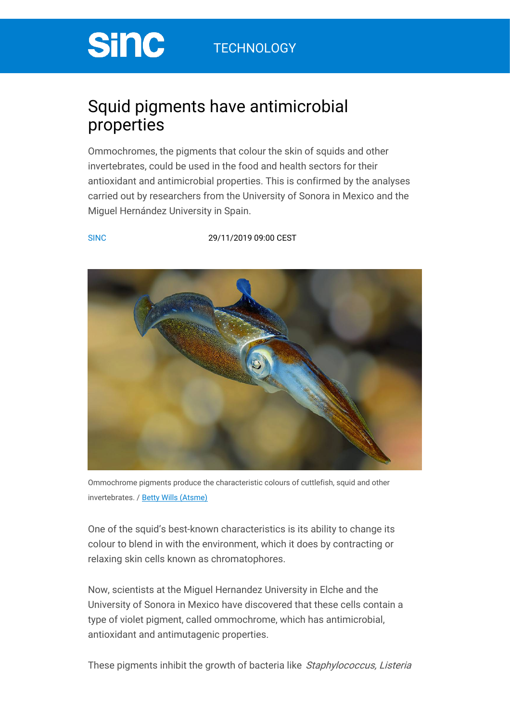# **Sinc**

## Squid pigments have antimicrobial properties

Ommochromes, the pigments that colour the skin of squids and other invertebrates, could be used in the food and health sectors for their antioxidant and antimicrobial properties. This is confirmed by the analyses carried out by researchers from the University of Sonora in Mexico and the Miguel Hernández University in Spain.

#### [SINC](https://www.agenciasinc.es/en/en/view/content/263938/full/1/122181) [29/11/2019](https://www.agenciasinc.es/en/articulos-del-dia/29-11-19) 09:00 CEST



Ommochrome pigments produce the characteristic colours of cuttlefish, squid and other invertebrates. / Betty Wills [\(Atsme\)](https://en.wikipedia.org/wiki/File:Squid_colors_2.jpg)

One of the squid's best-known characteristics is its ability to change its colour to blend in with the environment, which it does by contracting or relaxing skin cells known as chromatophores.

Now, scientists at the Miguel Hernandez University in Elche and the University of Sonora in Mexico have discovered that these cells contain a type of violet pigment, called ommochrome, which has antimicrobial, antioxidant and antimutagenic properties.

These pigments inhibit the growth of bacteria like Staphylococcus, Listeria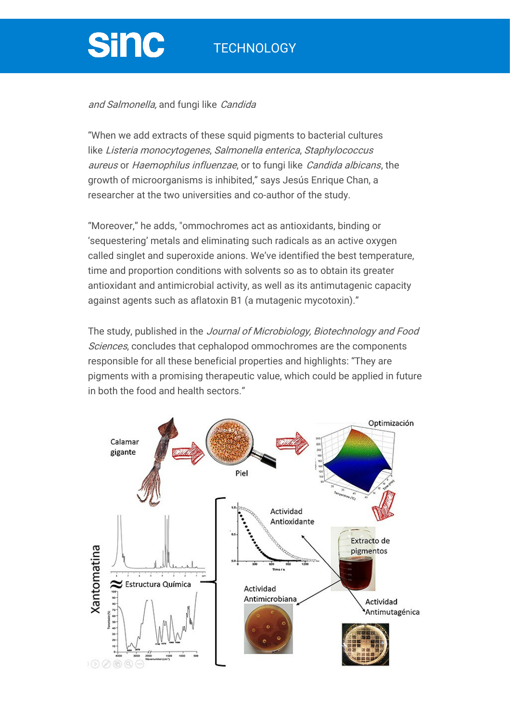### **TECHNOLOGY**

# **Sinc**

#### and Salmonella, and fungi like Candida

"When we add extracts of these squid pigments to bacterial cultures like Listeria monocytogenes, Salmonella enterica, Staphylococcus aureus or Haemophilus influenzae, or to fungi like Candida albicans, the growth of microorganisms is inhibited," says Jesús Enrique Chan, a researcher at the two universities and co-author of the study.

"Moreover," he adds, "ommochromes act as antioxidants, binding or 'sequestering' metals and eliminating such radicals as an active oxygen called singlet and superoxide anions. We've identified the best temperature, time and proportion conditions with solvents so as to obtain its greater antioxidant and antimicrobial activity, as well as its antimutagenic capacity against agents such as aflatoxin B1 (a mutagenic mycotoxin)."

The study, published in the Journal of Microbiology, Biotechnology and Food Sciences, concludes that cephalopod ommochromes are the components responsible for all these beneficial properties and highlights: "They are pigments with a promising therapeutic value, which could be applied in future in both the food and health sectors."

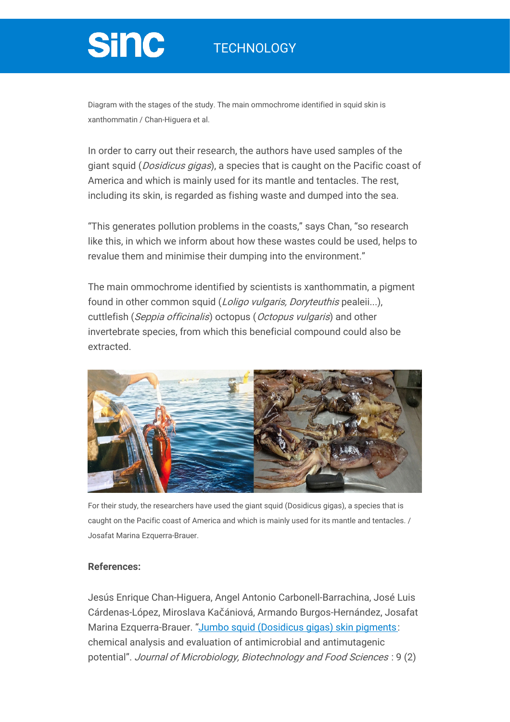### **TECHNOLOGY**

# **Sinc**

Diagram with the stages of the study. The main ommochrome identified in squid skin is xanthommatin / Chan-Higuera et al.

In order to carry out their research, the authors have used samples of the giant squid (*Dosidicus gigas*), a species that is caught on the Pacific coast of America and which is mainly used for its mantle and tentacles. The rest, including its skin, is regarded as fishing waste and dumped into the sea.

"This generates pollution problems in the coasts," says Chan, "so research like this, in which we inform about how these wastes could be used, helps to revalue them and minimise their dumping into the environment."

The main ommochrome identified by scientists is xanthommatin, a pigment found in other common squid (*Loligo vulgaris, Doryteuthis* pealeii...), cuttlefish (Seppia officinalis) octopus (Octopus vulgaris) and other invertebrate species, from which this beneficial compound could also be extracted.



For their study, the researchers have used the giant squid (Dosidicus gigas), a species that is caught on the Pacific coast of America and which is mainly used for its mantle and tentacles. / Josafat Marina Ezquerra-Brauer.

### **References:**

Jesús Enrique Chan-Higuera, Angel Antonio Carbonell-Barrachina, José Luis Cárdenas-López, Miroslava Kačániová, Armando Burgos-Hernández, Josafat Marina Ezquerra-Brauer. "Jumbo squid [\(Dosidicus](https://www.jmbfs.org/issue/october-november-2019-vol-9-no-2/jmbfs_acbxx_chan-higuera/?issue_id=6115&article_id=28) gigas) skin pigments: chemical analysis and evaluation of antimicrobial and antimutagenic potential". Journal of Microbiology, Biotechnology and Food Sciences : 9 (2)